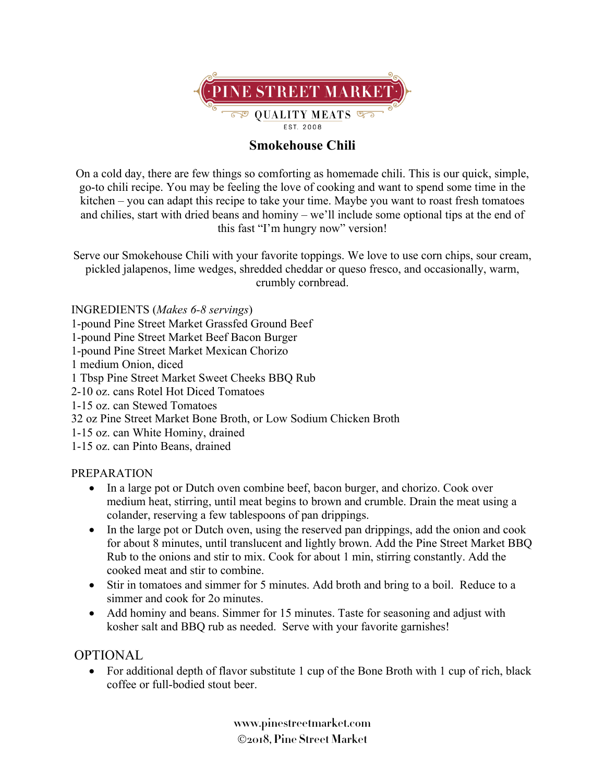

## **Smokehouse Chili**

On a cold day, there are few things so comforting as homemade chili. This is our quick, simple, go-to chili recipe. You may be feeling the love of cooking and want to spend some time in the kitchen – you can adapt this recipe to take your time. Maybe you want to roast fresh tomatoes and chilies, start with dried beans and hominy – we'll include some optional tips at the end of this fast "I'm hungry now" version!

Serve our Smokehouse Chili with your favorite toppings. We love to use corn chips, sour cream, pickled jalapenos, lime wedges, shredded cheddar or queso fresco, and occasionally, warm, crumbly cornbread.

INGREDIENTS (*Makes 6-8 servings*)

1-pound Pine Street Market Grassfed Ground Beef

1-pound Pine Street Market Beef Bacon Burger

1-pound Pine Street Market Mexican Chorizo

1 medium Onion, diced

1 Tbsp Pine Street Market Sweet Cheeks BBQ Rub

- 2-10 oz. cans Rotel Hot Diced Tomatoes
- 1-15 oz. can Stewed Tomatoes
- 32 oz Pine Street Market Bone Broth, or Low Sodium Chicken Broth
- 1-15 oz. can White Hominy, drained

1-15 oz. can Pinto Beans, drained

## PREPARATION

- In a large pot or Dutch oven combine beef, bacon burger, and chorizo. Cook over medium heat, stirring, until meat begins to brown and crumble. Drain the meat using a colander, reserving a few tablespoons of pan drippings.
- In the large pot or Dutch oven, using the reserved pan drippings, add the onion and cook for about 8 minutes, until translucent and lightly brown. Add the Pine Street Market BBQ Rub to the onions and stir to mix. Cook for about 1 min, stirring constantly. Add the cooked meat and stir to combine.
- Stir in tomatoes and simmer for 5 minutes. Add broth and bring to a boil. Reduce to a simmer and cook for 2o minutes.
- Add hominy and beans. Simmer for 15 minutes. Taste for seasoning and adjust with kosher salt and BBQ rub as needed. Serve with your favorite garnishes!

## OPTIONAL

• For additional depth of flavor substitute 1 cup of the Bone Broth with 1 cup of rich, black coffee or full-bodied stout beer.

> **www.pinestreetmarket.com** Ó**2018, Pine Street Market**